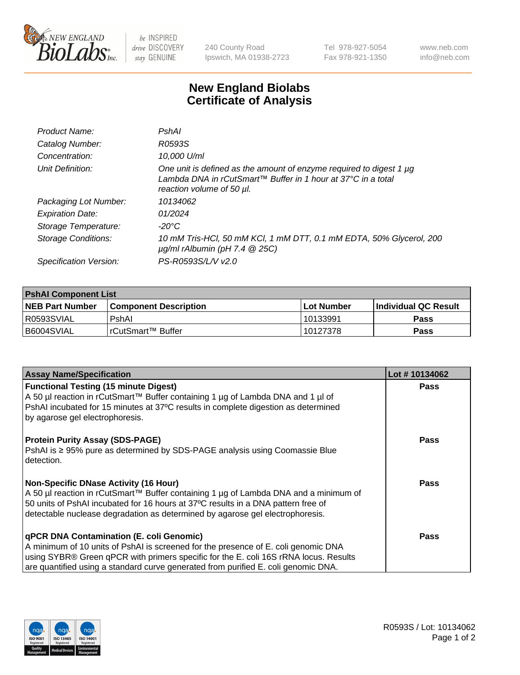

 $be$  INSPIRED drive DISCOVERY stay GENUINE

240 County Road Ipswich, MA 01938-2723 Tel 978-927-5054 Fax 978-921-1350 www.neb.com info@neb.com

## **New England Biolabs Certificate of Analysis**

| Product Name:              | PshAl                                                                                                                                                            |
|----------------------------|------------------------------------------------------------------------------------------------------------------------------------------------------------------|
| Catalog Number:            | R0593S                                                                                                                                                           |
| Concentration:             | 10,000 U/ml                                                                                                                                                      |
| Unit Definition:           | One unit is defined as the amount of enzyme required to digest 1 µg<br>Lambda DNA in rCutSmart™ Buffer in 1 hour at 37°C in a total<br>reaction volume of 50 µl. |
| Packaging Lot Number:      | 10134062                                                                                                                                                         |
| <b>Expiration Date:</b>    | 01/2024                                                                                                                                                          |
| Storage Temperature:       | $-20^{\circ}$ C                                                                                                                                                  |
| <b>Storage Conditions:</b> | 10 mM Tris-HCl, 50 mM KCl, 1 mM DTT, 0.1 mM EDTA, 50% Glycerol, 200<br>$\mu$ g/ml rAlbumin (pH 7.4 $\circledR$ 25C)                                              |
| Specification Version:     | PS-R0593S/L/V v2.0                                                                                                                                               |
|                            |                                                                                                                                                                  |

| <b>PshAI Component List</b> |                         |              |                             |  |  |
|-----------------------------|-------------------------|--------------|-----------------------------|--|--|
| <b>NEB Part Number</b>      | l Component Description | l Lot Number | <b>Individual QC Result</b> |  |  |
| I R0593SVIAL                | PshAl                   | 10133991     | Pass                        |  |  |
| I B6004SVIAL                | l rCutSmart™ Buffer     | 10127378     | <b>Pass</b>                 |  |  |

| <b>Assay Name/Specification</b>                                                                                                                                           | Lot #10134062 |
|---------------------------------------------------------------------------------------------------------------------------------------------------------------------------|---------------|
| <b>Functional Testing (15 minute Digest)</b>                                                                                                                              | <b>Pass</b>   |
| A 50 µl reaction in rCutSmart™ Buffer containing 1 µg of Lambda DNA and 1 µl of                                                                                           |               |
| PshAI incubated for 15 minutes at 37°C results in complete digestion as determined                                                                                        |               |
| by agarose gel electrophoresis.                                                                                                                                           |               |
| <b>Protein Purity Assay (SDS-PAGE)</b>                                                                                                                                    | <b>Pass</b>   |
| PshAI is ≥ 95% pure as determined by SDS-PAGE analysis using Coomassie Blue                                                                                               |               |
| detection.                                                                                                                                                                |               |
|                                                                                                                                                                           |               |
| <b>Non-Specific DNase Activity (16 Hour)</b>                                                                                                                              | Pass          |
| A 50 µl reaction in rCutSmart™ Buffer containing 1 µg of Lambda DNA and a minimum of<br>50 units of PshAI incubated for 16 hours at 37°C results in a DNA pattern free of |               |
| detectable nuclease degradation as determined by agarose gel electrophoresis.                                                                                             |               |
|                                                                                                                                                                           |               |
| <b>qPCR DNA Contamination (E. coli Genomic)</b>                                                                                                                           | <b>Pass</b>   |
| A minimum of 10 units of PshAI is screened for the presence of E. coli genomic DNA                                                                                        |               |
| using SYBR® Green qPCR with primers specific for the E. coli 16S rRNA locus. Results                                                                                      |               |
| are quantified using a standard curve generated from purified E. coli genomic DNA.                                                                                        |               |